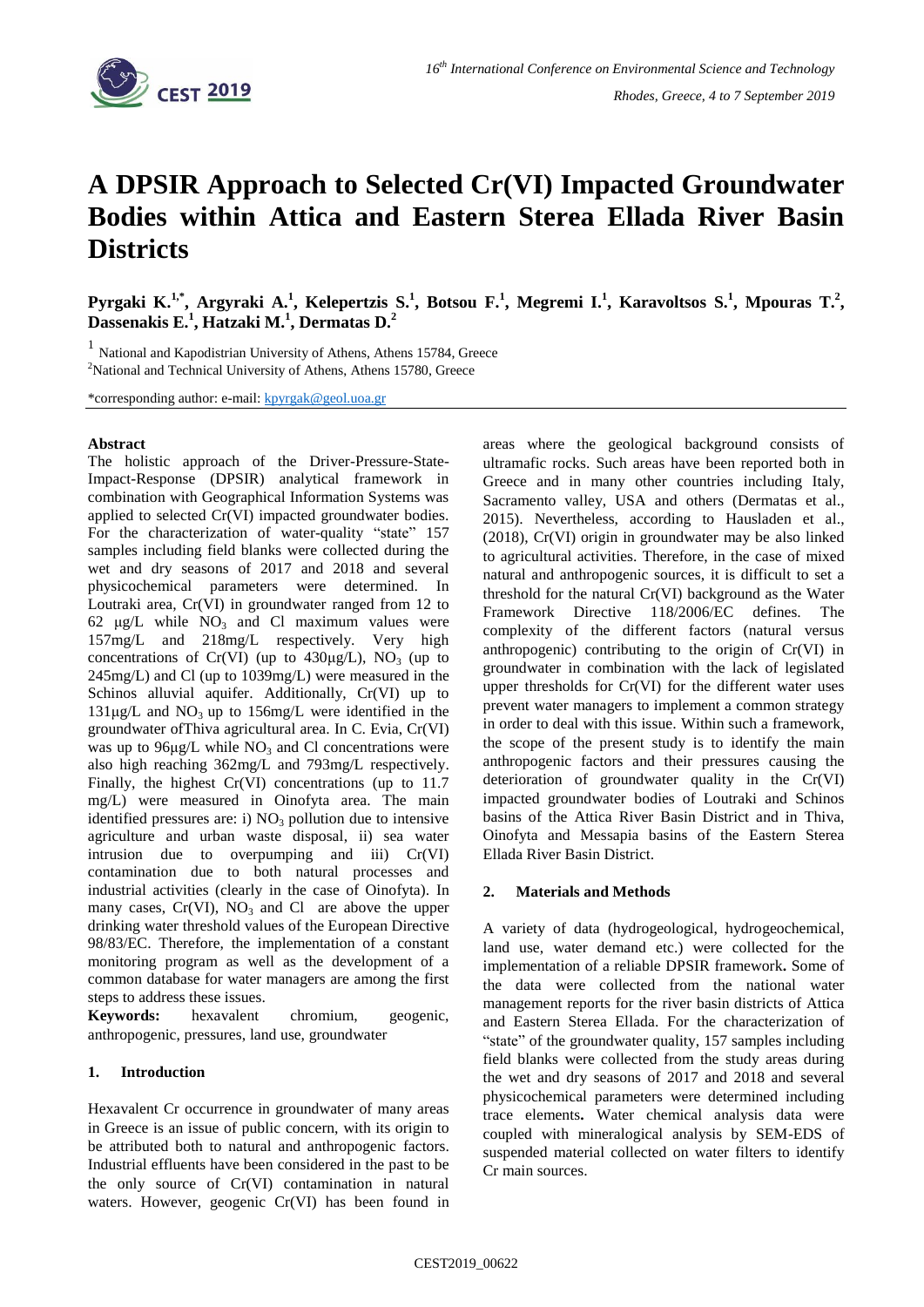

# **A DPSIR Approach to Selected Cr(VI) Impacted Groundwater Bodies within Attica and Eastern Sterea Ellada River Basin Districts**

Pyrgaki K.<sup>1,\*</sup>, Argyraki A.<sup>1</sup>, Kelepertzis S.<sup>1</sup>, Botsou F.<sup>1</sup>, Megremi I.<sup>1</sup>, Karavoltsos S.<sup>1</sup>, Mpouras T.<sup>2</sup>, **Dassenakis E.<sup>1</sup> , Hatzaki M.<sup>1</sup> , Dermatas D. 2**

1 National and Kapodistrian University of Athens, Athens 15784, Greece <sup>2</sup>National and Technical University of Athens, Athens 15780, Greece

\*corresponding author: e-mail: [kpyrgak@geol.uoa.gr](mailto:kpyrgak@geol.uoa.gr)

### **Abstract**

The holistic approach of the Driver-Pressure-State-Impact-Response (DPSIR) analytical framework in combination with Geographical Information Systems was applied to selected Cr(VI) impacted groundwater bodies. For the characterization of water-quality "state" 157 samples including field blanks were collected during the wet and dry seasons of 2017 and 2018 and several physicochemical parameters were determined. In Loutraki area, Cr(VI) in groundwater ranged from 12 to 62  $\mu$ g/L while NO<sub>3</sub> and Cl maximum values were 157mg/L and 218mg/L respectively. Very high concentrations of Cr(VI) (up to  $430\mu g/L$ ), NO<sub>3</sub> (up to 245mg/L) and Cl (up to 1039mg/L) were measured in the Schinos alluvial aquifer. Additionally, Cr(VI) up to  $131\mu g/L$  and  $NO_3$  up to  $156mg/L$  were identified in the groundwater ofThiva agricultural area. In C. Evia, Cr(VI) was up to  $96\mu g/L$  while NO<sub>3</sub> and Cl concentrations were also high reaching 362mg/L and 793mg/L respectively. Finally, the highest Cr(VI) concentrations (up to 11.7 mg/L) were measured in Oinofyta area. The main identified pressures are: i)  $NO<sub>3</sub>$  pollution due to intensive agriculture and urban waste disposal, ii) sea water intrusion due to overpumping and iii) Cr(VI) contamination due to both natural processes and industrial activities (clearly in the case of Oinofyta). In many cases,  $Cr(VI)$ ,  $NO<sub>3</sub>$  and Cl are above the upper drinking water threshold values of the European Directive 98/83/EC. Therefore, the implementation of a constant monitoring program as well as the development of a common database for water managers are among the first steps to address these issues.

**Keywords:** hexavalent chromium, geogenic, anthropogenic, pressures, land use, groundwater

# **1. Introduction**

Hexavalent Cr occurrence in groundwater of many areas in Greece is an issue of public concern, with its origin to be attributed both to natural and anthropogenic factors. Industrial effluents have been considered in the past to be the only source of Cr(VI) contamination in natural waters. However, geogenic Cr(VI) has been found in areas where the geological background consists of ultramafic rocks. Such areas have been reported both in Greece and in many other countries including Italy, Sacramento valley, USA and others (Dermatas et al., 2015). Nevertheless, according to Hausladen et al., (2018), Cr(VI) origin in groundwater may be also linked to agricultural activities. Therefore, in the case of mixed natural and anthropogenic sources, it is difficult to set a threshold for the natural Cr(VI) background as the Water Framework Directive 118/2006/EC defines. The complexity of the different factors (natural versus anthropogenic) contributing to the origin of Cr(VI) in groundwater in combination with the lack of legislated upper thresholds for Cr(VI) for the different water uses prevent water managers to implement a common strategy in order to deal with this issue. Within such a framework, the scope of the present study is to identify the main anthropogenic factors and their pressures causing the deterioration of groundwater quality in the Cr(VI) impacted groundwater bodies of Loutraki and Schinos basins of the Attica River Basin District and in Thiva, Oinofyta and Messapia basins of the Eastern Sterea Ellada River Basin District.

# **2. Materials and Methods**

A variety of data (hydrogeological, hydrogeochemical, land use, water demand etc.) were collected for the implementation of a reliable DPSIR framework**.** Some of the data were collected from the national water management reports for the river basin districts of Attica and Eastern Sterea Ellada. For the characterization of "state" of the groundwater quality, 157 samples including field blanks were collected from the study areas during the wet and dry seasons of 2017 and 2018 and several physicochemical parameters were determined including trace elements**.** Water chemical analysis data were coupled with mineralogical analysis by SEM-EDS of suspended material collected on water filters to identify Cr main sources.